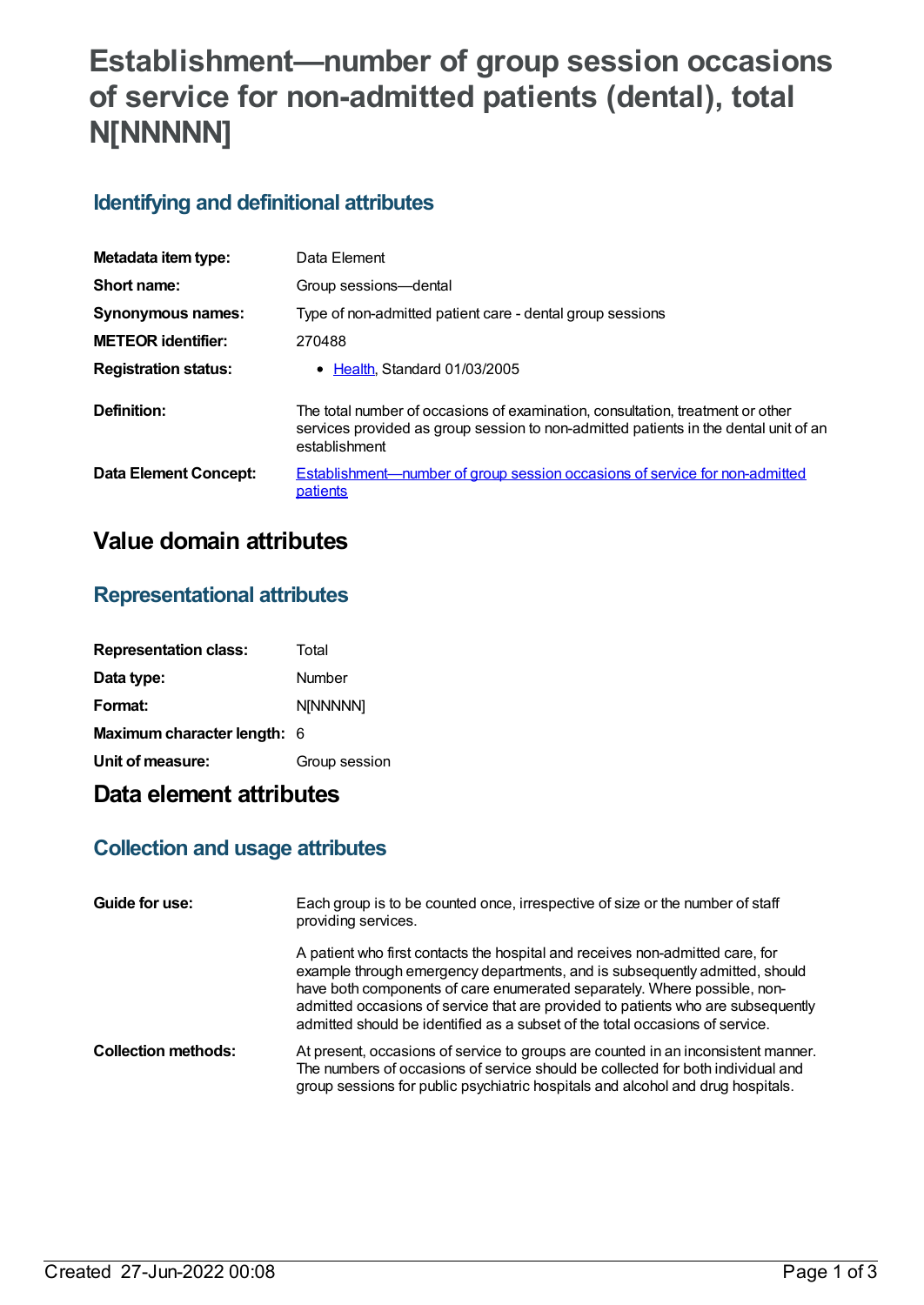# **Establishment—number of group session occasions of service for non-admitted patients (dental), total N[NNNNN]**

### **Identifying and definitional attributes**

| Metadata item type:          | Data Element                                                                                                                                                                            |
|------------------------------|-----------------------------------------------------------------------------------------------------------------------------------------------------------------------------------------|
| Short name:                  | Group sessions-dental                                                                                                                                                                   |
| Synonymous names:            | Type of non-admitted patient care - dental group sessions                                                                                                                               |
| <b>METEOR</b> identifier:    | 270488                                                                                                                                                                                  |
| <b>Registration status:</b>  | • Health, Standard 01/03/2005                                                                                                                                                           |
| Definition:                  | The total number of occasions of examination, consultation, treatment or other<br>services provided as group session to non-admitted patients in the dental unit of an<br>establishment |
| <b>Data Element Concept:</b> | <b>Establishment—number of group session occasions of service for non-admitted</b><br>patients                                                                                          |

## **Value domain attributes**

#### **Representational attributes**

| <b>Representation class:</b> | Total         |
|------------------------------|---------------|
| Data type:                   | Number        |
| Format:                      | N[NNNNN]      |
| Maximum character length: 6  |               |
| Unit of measure:             | Group session |

## **Data element attributes**

### **Collection and usage attributes**

| Guide for use:             | Each group is to be counted once, irrespective of size or the number of staff<br>providing services.                                                                                                                                                                                                                                                                                                         |
|----------------------------|--------------------------------------------------------------------------------------------------------------------------------------------------------------------------------------------------------------------------------------------------------------------------------------------------------------------------------------------------------------------------------------------------------------|
|                            | A patient who first contacts the hospital and receives non-admitted care, for<br>example through emergency departments, and is subsequently admitted, should<br>have both components of care enumerated separately. Where possible, non-<br>admitted occasions of service that are provided to patients who are subsequently<br>admitted should be identified as a subset of the total occasions of service. |
| <b>Collection methods:</b> | At present, occasions of service to groups are counted in an inconsistent manner.<br>The numbers of occasions of service should be collected for both individual and<br>group sessions for public psychiatric hospitals and alcohol and drug hospitals.                                                                                                                                                      |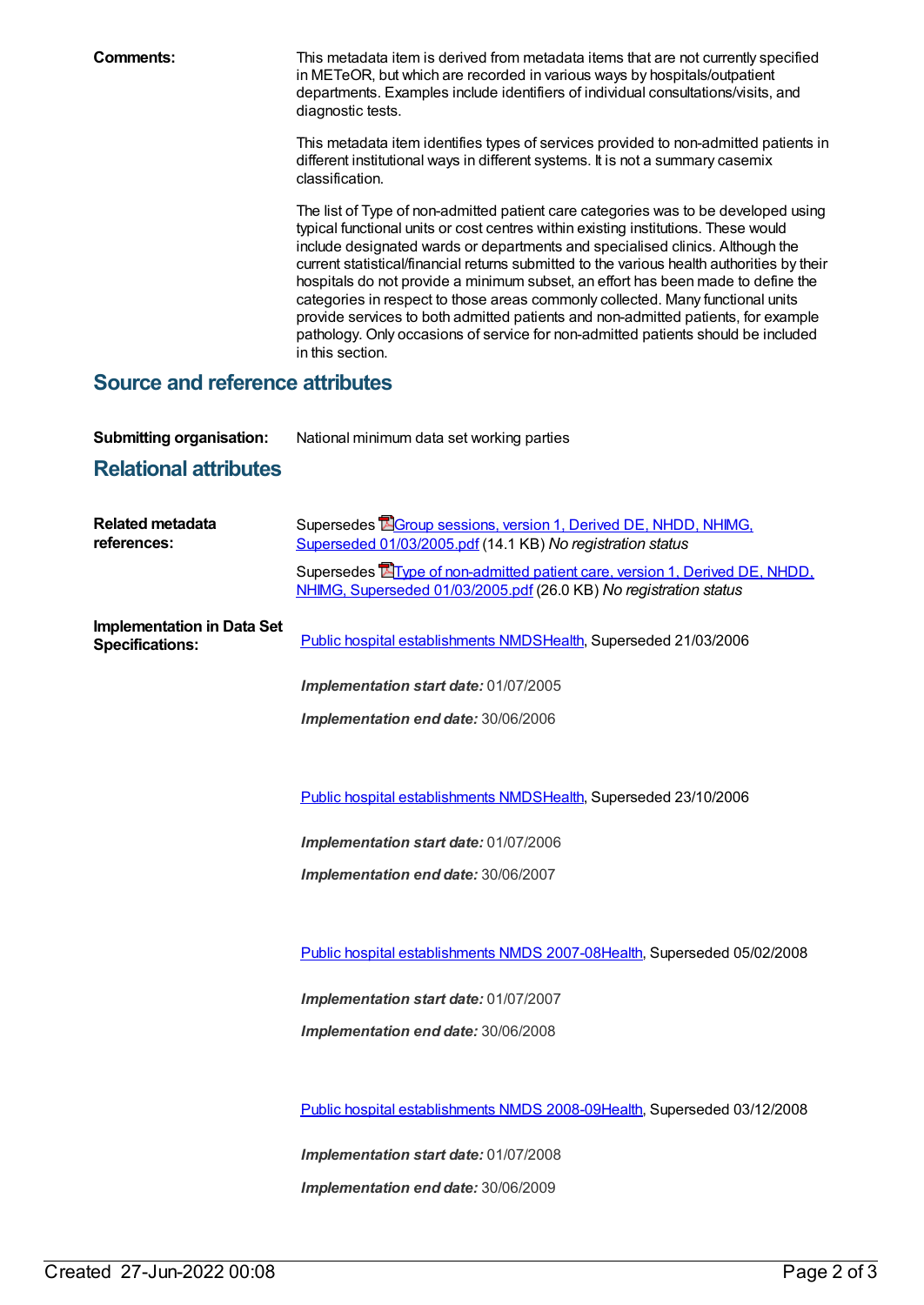**Comments:** This metadata item is derived from metadata items that are not currently specified in METeOR, but which are recorded in various ways by hospitals/outpatient departments. Examples include identifiers of individual consultations/visits, and diagnostic tests.

> This metadata item identifies types of services provided to non-admitted patients in different institutional ways in different systems. It is not a summary casemix classification.

> The list of Type of non-admitted patient care categories was to be developed using typical functional units or cost centres within existing institutions. These would include designated wards or departments and specialised clinics. Although the current statistical/financial returns submitted to the various health authorities by their hospitals do not provide a minimum subset, an effort has been made to define the categories in respect to those areas commonly collected. Many functional units provide services to both admitted patients and non-admitted patients, for example pathology. Only occasions of service for non-admitted patients should be included in this section.

#### **Source and reference attributes**

**Submitting organisation:** National minimum data set working parties

### **Relational attributes**

| <b>Related metadata</b><br>references:                      | Supersedes <b>E</b> Group sessions, version 1, Derived DE, NHDD, NHIMG,<br>Superseded 01/03/2005.pdf (14.1 KB) No registration status                    |
|-------------------------------------------------------------|----------------------------------------------------------------------------------------------------------------------------------------------------------|
|                                                             | Supersedes <b>E</b> Type of non-admitted patient care, version 1, Derived DE, NHDD,<br>NHIMG, Superseded 01/03/2005.pdf (26.0 KB) No registration status |
| <b>Implementation in Data Set</b><br><b>Specifications:</b> | Public hospital establishments NMDSHealth, Superseded 21/03/2006                                                                                         |
|                                                             | Implementation start date: 01/07/2005                                                                                                                    |
|                                                             | Implementation end date: 30/06/2006                                                                                                                      |
|                                                             |                                                                                                                                                          |
|                                                             | Public hospital establishments NMDSHealth, Superseded 23/10/2006                                                                                         |
|                                                             | Implementation start date: 01/07/2006                                                                                                                    |
|                                                             | Implementation end date: 30/06/2007                                                                                                                      |
|                                                             |                                                                                                                                                          |
|                                                             | Public hospital establishments NMDS 2007-08Health, Superseded 05/02/2008                                                                                 |
|                                                             | Implementation start date: 01/07/2007                                                                                                                    |
|                                                             | Implementation end date: 30/06/2008                                                                                                                      |
|                                                             |                                                                                                                                                          |
|                                                             | Public hospital establishments NMDS 2008-09Health, Superseded 03/12/2008                                                                                 |
|                                                             | Implementation start date: 01/07/2008                                                                                                                    |
|                                                             | Implementation end date: 30/06/2009                                                                                                                      |